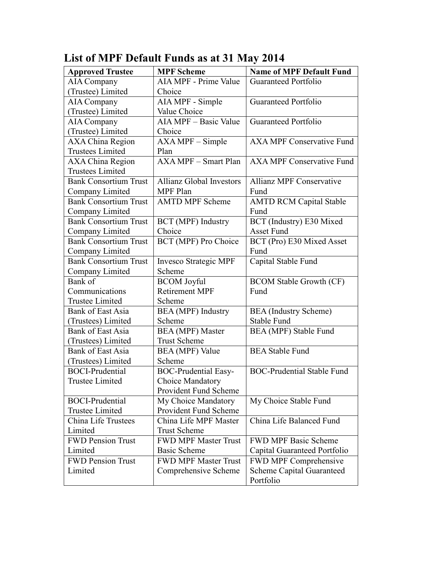| <b>Approved Trustee</b>      | <b>MPF</b> Scheme               | <b>Name of MPF Default Fund</b>   |
|------------------------------|---------------------------------|-----------------------------------|
| <b>AIA Company</b>           | <b>AIA MPF - Prime Value</b>    | <b>Guaranteed Portfolio</b>       |
| (Trustee) Limited            | Choice                          |                                   |
| <b>AIA Company</b>           | AIA MPF - Simple                | <b>Guaranteed Portfolio</b>       |
| (Trustee) Limited            | Value Choice                    |                                   |
| AIA Company                  | AIA MPF - Basic Value           | <b>Guaranteed Portfolio</b>       |
| (Trustee) Limited            | Choice                          |                                   |
| <b>AXA China Region</b>      | AXA MPF - Simple                | <b>AXA MPF Conservative Fund</b>  |
| <b>Trustees Limited</b>      | Plan                            |                                   |
| <b>AXA China Region</b>      | <b>AXA MPF</b> - Smart Plan     | <b>AXA MPF Conservative Fund</b>  |
| <b>Trustees Limited</b>      |                                 |                                   |
| <b>Bank Consortium Trust</b> | <b>Allianz Global Investors</b> | <b>Allianz MPF Conservative</b>   |
| Company Limited              | MPF Plan                        | Fund                              |
| <b>Bank Consortium Trust</b> | <b>AMTD MPF Scheme</b>          | <b>AMTD RCM Capital Stable</b>    |
| Company Limited              |                                 | Fund                              |
| <b>Bank Consortium Trust</b> | BCT (MPF) Industry              | BCT (Industry) E30 Mixed          |
| Company Limited              | Choice                          | Asset Fund                        |
| <b>Bank Consortium Trust</b> | BCT (MPF) Pro Choice            | BCT (Pro) E30 Mixed Asset         |
| Company Limited              |                                 | Fund                              |
| <b>Bank Consortium Trust</b> | <b>Invesco Strategic MPF</b>    | Capital Stable Fund               |
| Company Limited              | Scheme                          |                                   |
| Bank of                      | <b>BCOM</b> Joyful              | <b>BCOM Stable Growth (CF)</b>    |
| Communications               | <b>Retirement MPF</b>           | Fund                              |
| <b>Trustee Limited</b>       | Scheme                          |                                   |
| <b>Bank of East Asia</b>     | <b>BEA</b> (MPF) Industry       | <b>BEA</b> (Industry Scheme)      |
| (Trustees) Limited           | Scheme                          | Stable Fund                       |
| <b>Bank of East Asia</b>     | <b>BEA</b> (MPF) Master         | BEA (MPF) Stable Fund             |
| (Trustees) Limited           | <b>Trust Scheme</b>             |                                   |
| <b>Bank of East Asia</b>     | <b>BEA</b> (MPF) Value          | <b>BEA Stable Fund</b>            |
| (Trustees) Limited           | Scheme                          |                                   |
| <b>BOCI-Prudential</b>       | <b>BOC-Prudential Easy-</b>     | <b>BOC-Prudential Stable Fund</b> |
| Trustee Limited              | Choice Mandatory                |                                   |
|                              | Provident Fund Scheme           |                                   |
| <b>BOCI-Prudential</b>       | My Choice Mandatory             | My Choice Stable Fund             |
| <b>Trustee Limited</b>       | Provident Fund Scheme           |                                   |
| China Life Trustees          | China Life MPF Master           | China Life Balanced Fund          |
| Limited                      | <b>Trust Scheme</b>             |                                   |
| <b>FWD Pension Trust</b>     | <b>FWD MPF Master Trust</b>     | <b>FWD MPF Basic Scheme</b>       |
| Limited                      | <b>Basic Scheme</b>             | Capital Guaranteed Portfolio      |
| <b>FWD Pension Trust</b>     | <b>FWD MPF Master Trust</b>     | FWD MPF Comprehensive             |
| Limited                      | Comprehensive Scheme            | <b>Scheme Capital Guaranteed</b>  |
|                              |                                 | Portfolio                         |

**List of MPF Default Funds as at 31 May 2014**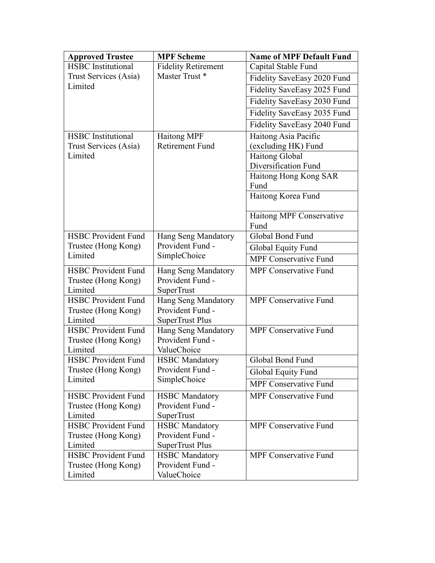| <b>Approved Trustee</b>    | <b>MPF</b> Scheme          | <b>Name of MPF Default Fund</b> |
|----------------------------|----------------------------|---------------------------------|
| <b>HSBC</b> Institutional  | <b>Fidelity Retirement</b> | Capital Stable Fund             |
| Trust Services (Asia)      | Master Trust <sup>*</sup>  | Fidelity SaveEasy 2020 Fund     |
| Limited                    |                            | Fidelity SaveEasy 2025 Fund     |
|                            |                            | Fidelity SaveEasy 2030 Fund     |
|                            |                            | Fidelity SaveEasy 2035 Fund     |
|                            |                            | Fidelity SaveEasy 2040 Fund     |
| <b>HSBC</b> Institutional  | <b>Haitong MPF</b>         | Haitong Asia Pacific            |
| Trust Services (Asia)      | <b>Retirement Fund</b>     | (excluding HK) Fund             |
| Limited                    |                            | <b>Haitong Global</b>           |
|                            |                            | Diversification Fund            |
|                            |                            | Haitong Hong Kong SAR           |
|                            |                            | Fund                            |
|                            |                            | Haitong Korea Fund              |
|                            |                            | Haitong MPF Conservative        |
|                            |                            | Fund                            |
| <b>HSBC Provident Fund</b> | Hang Seng Mandatory        | Global Bond Fund                |
| Trustee (Hong Kong)        | Provident Fund -           | Global Equity Fund              |
| Limited                    | SimpleChoice               | <b>MPF Conservative Fund</b>    |
| <b>HSBC Provident Fund</b> | Hang Seng Mandatory        | <b>MPF Conservative Fund</b>    |
| Trustee (Hong Kong)        | Provident Fund -           |                                 |
| Limited                    | SuperTrust                 |                                 |
| <b>HSBC Provident Fund</b> | Hang Seng Mandatory        | MPF Conservative Fund           |
| Trustee (Hong Kong)        | Provident Fund -           |                                 |
| Limited                    | <b>SuperTrust Plus</b>     |                                 |
| <b>HSBC Provident Fund</b> | <b>Hang Seng Mandatory</b> | <b>MPF Conservative Fund</b>    |
| Trustee (Hong Kong)        | Provident Fund -           |                                 |
| Limited                    | ValueChoice                |                                 |
| <b>HSBC Provident Fund</b> | <b>HSBC</b> Mandatory      | Global Bond Fund                |
| Trustee (Hong Kong)        | Provident Fund -           | Global Equity Fund              |
| Limited                    | SimpleChoice               | <b>MPF Conservative Fund</b>    |
| <b>HSBC Provident Fund</b> | <b>HSBC</b> Mandatory      | <b>MPF Conservative Fund</b>    |
| Trustee (Hong Kong)        | Provident Fund -           |                                 |
| Limited                    | <b>SuperTrust</b>          |                                 |
| <b>HSBC Provident Fund</b> | <b>HSBC</b> Mandatory      | <b>MPF Conservative Fund</b>    |
| Trustee (Hong Kong)        | Provident Fund -           |                                 |
| Limited                    | SuperTrust Plus            |                                 |
| <b>HSBC Provident Fund</b> | <b>HSBC</b> Mandatory      | <b>MPF Conservative Fund</b>    |
| Trustee (Hong Kong)        | Provident Fund -           |                                 |
| Limited                    | ValueChoice                |                                 |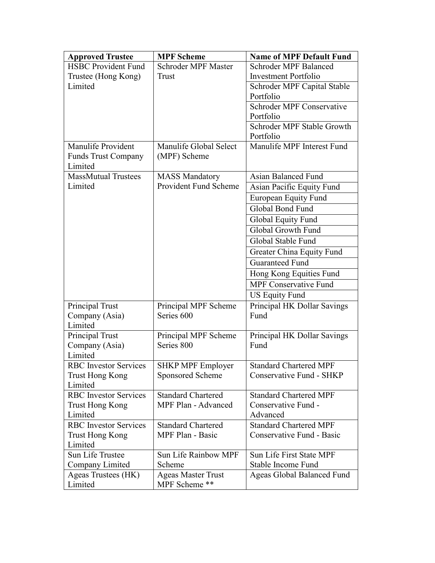| <b>Approved Trustee</b>               | <b>MPF</b> Scheme         | <b>Name of MPF Default Fund</b>         |
|---------------------------------------|---------------------------|-----------------------------------------|
| <b>HSBC Provident Fund</b>            | Schroder MPF Master       | <b>Schroder MPF Balanced</b>            |
| Trustee (Hong Kong)                   | <b>Trust</b>              | <b>Investment Portfolio</b>             |
| Limited                               |                           | Schroder MPF Capital Stable             |
|                                       |                           | Portfolio                               |
|                                       |                           | Schroder MPF Conservative               |
|                                       |                           | Portfolio                               |
|                                       |                           | Schroder MPF Stable Growth<br>Portfolio |
| <b>Manulife Provident</b>             | Manulife Global Select    | Manulife MPF Interest Fund              |
| <b>Funds Trust Company</b><br>Limited | (MPF) Scheme              |                                         |
| <b>MassMutual Trustees</b>            | <b>MASS Mandatory</b>     | Asian Balanced Fund                     |
| Limited                               | Provident Fund Scheme     | Asian Pacific Equity Fund               |
|                                       |                           | European Equity Fund                    |
|                                       |                           | Global Bond Fund                        |
|                                       |                           | Global Equity Fund                      |
|                                       |                           | <b>Global Growth Fund</b>               |
|                                       |                           | Global Stable Fund                      |
|                                       |                           | Greater China Equity Fund               |
|                                       |                           | <b>Guaranteed Fund</b>                  |
|                                       |                           | Hong Kong Equities Fund                 |
|                                       |                           | <b>MPF Conservative Fund</b>            |
|                                       |                           | <b>US Equity Fund</b>                   |
| Principal Trust                       | Principal MPF Scheme      | Principal HK Dollar Savings             |
| Company (Asia)                        | Series 600                | Fund                                    |
| Limited                               |                           |                                         |
| Principal Trust                       | Principal MPF Scheme      | Principal HK Dollar Savings             |
| Company (Asia)                        | Series 800                | Fund                                    |
| Limited                               |                           |                                         |
| <b>RBC</b> Investor Services          | <b>SHKP MPF Employer</b>  | <b>Standard Chartered MPF</b>           |
| Trust Hong Kong<br>Limited            | Sponsored Scheme          | Conservative Fund - SHKP                |
| <b>RBC</b> Investor Services          | <b>Standard Chartered</b> | <b>Standard Chartered MPF</b>           |
| <b>Trust Hong Kong</b>                | MPF Plan - Advanced       | Conservative Fund -                     |
| Limited                               |                           | Advanced                                |
| <b>RBC</b> Investor Services          | <b>Standard Chartered</b> | <b>Standard Chartered MPF</b>           |
| <b>Trust Hong Kong</b>                | MPF Plan - Basic          | Conservative Fund - Basic               |
| Limited                               |                           |                                         |
| Sun Life Trustee                      | Sun Life Rainbow MPF      | Sun Life First State MPF                |
| Company Limited                       | Scheme                    | Stable Income Fund                      |
| Ageas Trustees (HK)                   | <b>Ageas Master Trust</b> | Ageas Global Balanced Fund              |
| Limited                               | MPF Scheme **             |                                         |